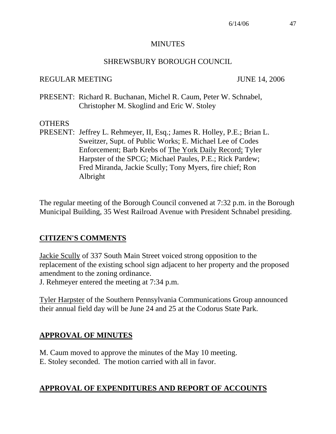#### **MINUTES**

#### SHREWSBURY BOROUGH COUNCIL

#### REGULAR MEETING JUNE 14, 2006

PRESENT: Richard R. Buchanan, Michel R. Caum, Peter W. Schnabel, Christopher M. Skoglind and Eric W. Stoley

### **OTHERS**

PRESENT: Jeffrey L. Rehmeyer, II, Esq.; James R. Holley, P.E.; Brian L. Sweitzer, Supt. of Public Works; E. Michael Lee of Codes Enforcement; Barb Krebs of The York Daily Record; Tyler Harpster of the SPCG; Michael Paules, P.E.; Rick Pardew; Fred Miranda, Jackie Scully; Tony Myers, fire chief; Ron Albright

The regular meeting of the Borough Council convened at 7:32 p.m. in the Borough Municipal Building, 35 West Railroad Avenue with President Schnabel presiding.

### **CITIZEN'S COMMENTS**

Jackie Scully of 337 South Main Street voiced strong opposition to the replacement of the existing school sign adjacent to her property and the proposed amendment to the zoning ordinance.

J. Rehmeyer entered the meeting at 7:34 p.m.

Tyler Harpster of the Southern Pennsylvania Communications Group announced their annual field day will be June 24 and 25 at the Codorus State Park.

## **APPROVAL OF MINUTES**

M. Caum moved to approve the minutes of the May 10 meeting. E. Stoley seconded. The motion carried with all in favor.

## **APPROVAL OF EXPENDITURES AND REPORT OF ACCOUNTS**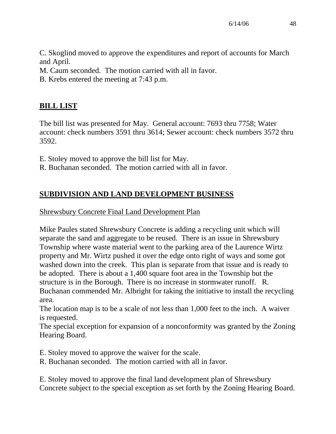C. Skoglind moved to approve the expenditures and report of accounts for March and April.

M. Caum seconded. The motion carried with all in favor.

B. Krebs entered the meeting at 7:43 p.m.

## **BILL LIST**

The bill list was presented for May. General account: 7693 thru 7758; Water account: check numbers 3591 thru 3614; Sewer account: check numbers 3572 thru 3592.

E. Stoley moved to approve the bill list for May.

R. Buchanan seconded. The motion carried with all in favor.

# **SUBDIVISION AND LAND DEVELOPMENT BUSINESS**

### Shrewsbury Concrete Final Land Development Plan

Mike Paules stated Shrewsbury Concrete is adding a recycling unit which will separate the sand and aggregate to be reused. There is an issue in Shrewsbury Township where waste material went to the parking area of the Laurence Wirtz property and Mr. Wirtz pushed it over the edge onto right of ways and some got washed down into the creek. This plan is separate from that issue and is ready to be adopted. There is about a 1,400 square foot area in the Township but the structure is in the Borough. There is no increase in stormwater runoff. R. Buchanan commended Mr. Albright for taking the initiative to install the recycling area.

The location map is to be a scale of not less than 1,000 feet to the inch. A waiver is requested.

The special exception for expansion of a nonconformity was granted by the Zoning Hearing Board.

E. Stoley moved to approve the waiver for the scale.

R. Buchanan seconded. The motion carried with all in favor.

E. Stoley moved to approve the final land development plan of Shrewsbury Concrete subject to the special exception as set forth by the Zoning Hearing Board.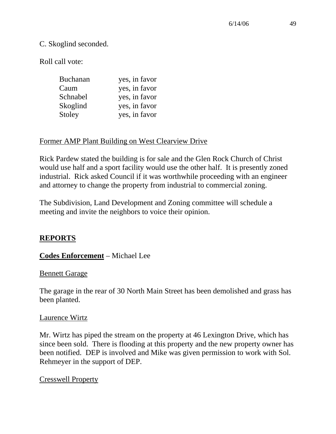### C. Skoglind seconded.

Roll call vote:

| <b>Buchanan</b> | yes, in favor |
|-----------------|---------------|
| Caum            | yes, in favor |
| Schnabel        | yes, in favor |
| Skoglind        | yes, in favor |
| Stoley          | yes, in favor |

### Former AMP Plant Building on West Clearview Drive

Rick Pardew stated the building is for sale and the Glen Rock Church of Christ would use half and a sport facility would use the other half. It is presently zoned industrial. Rick asked Council if it was worthwhile proceeding with an engineer and attorney to change the property from industrial to commercial zoning.

The Subdivision, Land Development and Zoning committee will schedule a meeting and invite the neighbors to voice their opinion.

## **REPORTS**

## **Codes Enforcement** – Michael Lee

### Bennett Garage

The garage in the rear of 30 North Main Street has been demolished and grass has been planted.

#### Laurence Wirtz

Mr. Wirtz has piped the stream on the property at 46 Lexington Drive, which has since been sold. There is flooding at this property and the new property owner has been notified. DEP is involved and Mike was given permission to work with Sol. Rehmeyer in the support of DEP.

### Cresswell Property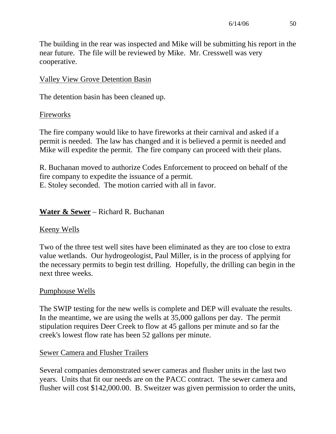The building in the rear was inspected and Mike will be submitting his report in the near future. The file will be reviewed by Mike. Mr. Cresswell was very cooperative.

### Valley View Grove Detention Basin

The detention basin has been cleaned up.

### Fireworks

The fire company would like to have fireworks at their carnival and asked if a permit is needed. The law has changed and it is believed a permit is needed and Mike will expedite the permit. The fire company can proceed with their plans.

R. Buchanan moved to authorize Codes Enforcement to proceed on behalf of the fire company to expedite the issuance of a permit.

E. Stoley seconded. The motion carried with all in favor.

## **Water & Sewer** – Richard R. Buchanan

### Keeny Wells

Two of the three test well sites have been eliminated as they are too close to extra value wetlands. Our hydrogeologist, Paul Miller, is in the process of applying for the necessary permits to begin test drilling. Hopefully, the drilling can begin in the next three weeks.

### Pumphouse Wells

The SWIP testing for the new wells is complete and DEP will evaluate the results. In the meantime, we are using the wells at 35,000 gallons per day. The permit stipulation requires Deer Creek to flow at 45 gallons per minute and so far the creek's lowest flow rate has been 52 gallons per minute.

### Sewer Camera and Flusher Trailers

Several companies demonstrated sewer cameras and flusher units in the last two years. Units that fit our needs are on the PACC contract. The sewer camera and flusher will cost \$142,000.00. B. Sweitzer was given permission to order the units,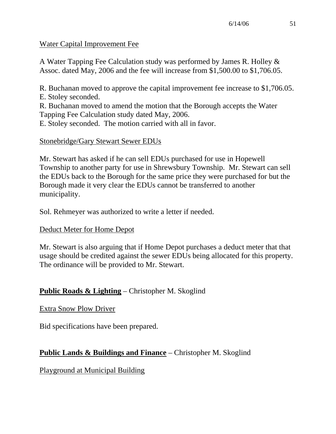### Water Capital Improvement Fee

A Water Tapping Fee Calculation study was performed by James R. Holley & Assoc. dated May, 2006 and the fee will increase from \$1,500.00 to \$1,706.05.

R. Buchanan moved to approve the capital improvement fee increase to \$1,706.05. E. Stoley seconded.

R. Buchanan moved to amend the motion that the Borough accepts the Water Tapping Fee Calculation study dated May, 2006.

E. Stoley seconded. The motion carried with all in favor.

## Stonebridge/Gary Stewart Sewer EDUs

Mr. Stewart has asked if he can sell EDUs purchased for use in Hopewell Township to another party for use in Shrewsbury Township. Mr. Stewart can sell the EDUs back to the Borough for the same price they were purchased for but the Borough made it very clear the EDUs cannot be transferred to another municipality.

Sol. Rehmeyer was authorized to write a letter if needed.

## Deduct Meter for Home Depot

Mr. Stewart is also arguing that if Home Depot purchases a deduct meter that that usage should be credited against the sewer EDUs being allocated for this property. The ordinance will be provided to Mr. Stewart.

# **Public Roads & Lighting** – Christopher M. Skoglind

## Extra Snow Plow Driver

Bid specifications have been prepared.

# **Public Lands & Buildings and Finance** – Christopher M. Skoglind

Playground at Municipal Building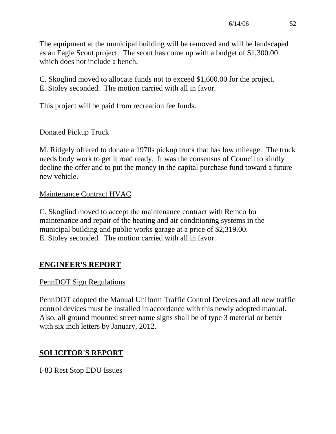The equipment at the municipal building will be removed and will be landscaped as an Eagle Scout project. The scout has come up with a budget of \$1,300.00 which does not include a bench.

C. Skoglind moved to allocate funds not to exceed \$1,600.00 for the project. E. Stoley seconded. The motion carried with all in favor.

This project will be paid from recreation fee funds.

# Donated Pickup Truck

M. Ridgely offered to donate a 1970s pickup truck that has low mileage. The truck needs body work to get it road ready. It was the consensus of Council to kindly decline the offer and to put the money in the capital purchase fund toward a future new vehicle.

## Maintenance Contract HVAC

C. Skoglind moved to accept the maintenance contract with Remco for maintenance and repair of the heating and air conditioning systems in the municipal building and public works garage at a price of \$2,319.00. E. Stoley seconded. The motion carried with all in favor.

# **ENGINEER'S REPORT**

# PennDOT Sign Regulations

PennDOT adopted the Manual Uniform Traffic Control Devices and all new traffic control devices must be installed in accordance with this newly adopted manual. Also, all ground mounted street name signs shall be of type 3 material or better with six inch letters by January, 2012.

# **SOLICITOR'S REPORT**

I-83 Rest Stop EDU Issues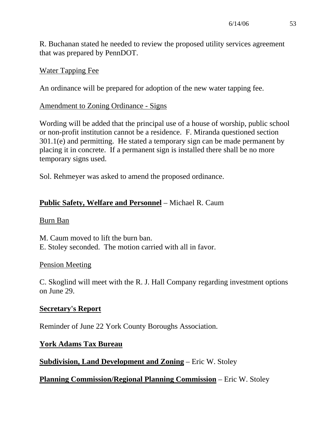R. Buchanan stated he needed to review the proposed utility services agreement that was prepared by PennDOT.

### Water Tapping Fee

An ordinance will be prepared for adoption of the new water tapping fee.

### Amendment to Zoning Ordinance - Signs

Wording will be added that the principal use of a house of worship, public school or non-profit institution cannot be a residence. F. Miranda questioned section 301.1(e) and permitting. He stated a temporary sign can be made permanent by placing it in concrete. If a permanent sign is installed there shall be no more temporary signs used.

Sol. Rehmeyer was asked to amend the proposed ordinance.

## **Public Safety, Welfare and Personnel** – Michael R. Caum

### Burn Ban

M. Caum moved to lift the burn ban. E. Stoley seconded. The motion carried with all in favor.

### Pension Meeting

C. Skoglind will meet with the R. J. Hall Company regarding investment options on June 29.

## **Secretary's Report**

Reminder of June 22 York County Boroughs Association.

## **York Adams Tax Bureau**

**Subdivision, Land Development and Zoning** – Eric W. Stoley

**Planning Commission/Regional Planning Commission** – Eric W. Stoley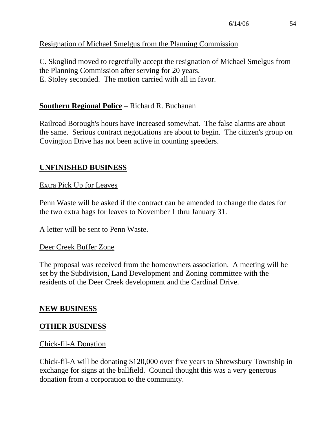## Resignation of Michael Smelgus from the Planning Commission

C. Skoglind moved to regretfully accept the resignation of Michael Smelgus from the Planning Commission after serving for 20 years. E. Stoley seconded. The motion carried with all in favor.

### **Southern Regional Police** – Richard R. Buchanan

Railroad Borough's hours have increased somewhat. The false alarms are about the same. Serious contract negotiations are about to begin. The citizen's group on Covington Drive has not been active in counting speeders.

### **UNFINISHED BUSINESS**

### Extra Pick Up for Leaves

Penn Waste will be asked if the contract can be amended to change the dates for the two extra bags for leaves to November 1 thru January 31.

A letter will be sent to Penn Waste.

#### Deer Creek Buffer Zone

The proposal was received from the homeowners association. A meeting will be set by the Subdivision, Land Development and Zoning committee with the residents of the Deer Creek development and the Cardinal Drive.

### **NEW BUSINESS**

### **OTHER BUSINESS**

#### Chick-fil-A Donation

Chick-fil-A will be donating \$120,000 over five years to Shrewsbury Township in exchange for signs at the ballfield. Council thought this was a very generous donation from a corporation to the community.